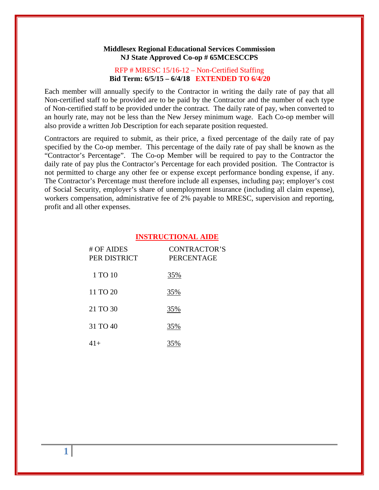#### **Middlesex Regional Educational Services Commission NJ State Approved Co-op # 65MCESCCPS**

## RFP # MRESC 15/16-12 – Non-Certified Staffing  **Bid Term: 6/5/15 – 6/4/18 EXTENDED TO 6/4/20**

Each member will annually specify to the Contractor in writing the daily rate of pay that all Non-certified staff to be provided are to be paid by the Contractor and the number of each type of Non-certified staff to be provided under the contract. The daily rate of pay, when converted to an hourly rate, may not be less than the New Jersey minimum wage. Each Co-op member will also provide a written Job Description for each separate position requested.

Contractors are required to submit, as their price, a fixed percentage of the daily rate of pay specified by the Co-op member. This percentage of the daily rate of pay shall be known as the "Contractor's Percentage". The Co-op Member will be required to pay to the Contractor the daily rate of pay plus the Contractor's Percentage for each provided position. The Contractor is not permitted to charge any other fee or expense except performance bonding expense, if any. The Contractor's Percentage must therefore include all expenses, including pay; employer's cost of Social Security, employer's share of unemployment insurance (including all claim expense), workers compensation, administrative fee of 2% payable to MRESC, supervision and reporting, profit and all other expenses.

#### **INSTRUCTIONAL AIDE**

| # OF AIDES<br>PER DISTRICT | <b>CONTRACTOR'S</b><br><b>PERCENTAGE</b> |
|----------------------------|------------------------------------------|
| 1 TO 10                    | 35%                                      |
| 11 TO 20                   | 35%                                      |
| 21 TO 30                   | 35%                                      |
| 31 TO 40                   | 35%                                      |
| $41+$                      | 35%                                      |

**1**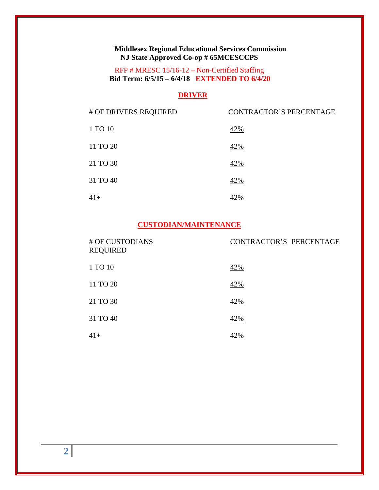# **Middlesex Regional Educational Services Commission NJ State Approved Co-op # 65MCESCCPS**

RFP # MRESC 15/16-12 – Non-Certified Staffing  **Bid Term: 6/5/15 – 6/4/18 EXTENDED TO 6/4/20**

## **DRIVER**

| # OF DRIVERS REQUIRED | <b>CONTRACTOR'S PERCENTAGE</b> |
|-----------------------|--------------------------------|
| 1 TO 10               | 42%                            |
| 11 TO 20              | 42%                            |
| 21 TO 30              | 42%                            |
| 31 TO 40              | 42%                            |
| $41+$                 |                                |

# **CUSTODIAN/MAINTENANCE**

| # OF CUSTODIANS<br><b>REQUIRED</b> | CONTRACTOR'S PERCENTAGE |
|------------------------------------|-------------------------|
| 1 TO 10                            | 42%                     |
| 11 TO 20                           | 42%                     |
| 21 TO 30                           | 42%                     |
| 31 TO 40                           | 42%                     |
| $41+$                              |                         |